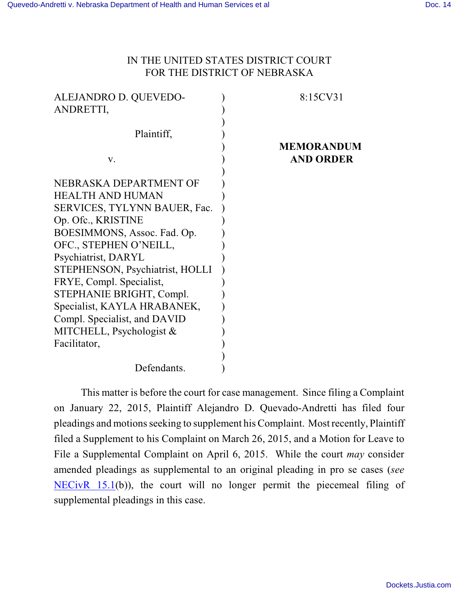## IN THE UNITED STATES DISTRICT COURT FOR THE DISTRICT OF NEBRASKA

| ALEJANDRO D. QUEVEDO-<br>ANDRETTI,                          | 8:15CV31                              |
|-------------------------------------------------------------|---------------------------------------|
| Plaintiff,                                                  |                                       |
| V.                                                          | <b>MEMORANDUM</b><br><b>AND ORDER</b> |
| NEBRASKA DEPARTMENT OF                                      |                                       |
| <b>HEALTH AND HUMAN</b><br>SERVICES, TYLYNN BAUER, Fac.     |                                       |
| Op. Ofc., KRISTINE<br>BOESIMMONS, Assoc. Fad. Op.           |                                       |
| OFC., STEPHEN O'NEILL,<br>Psychiatrist, DARYL               |                                       |
| STEPHENSON, Psychiatrist, HOLLI<br>FRYE, Compl. Specialist, |                                       |
| STEPHANIE BRIGHT, Compl.<br>Specialist, KAYLA HRABANEK,     |                                       |
| Compl. Specialist, and DAVID<br>MITCHELL, Psychologist $&$  |                                       |
| Facilitator,                                                |                                       |
| Defendants.                                                 |                                       |

This matter is before the court for case management. Since filing a Complaint on January 22, 2015, Plaintiff Alejandro D. Quevado-Andretti has filed four pleadings and motions seeking to supplement his Complaint. Most recently, Plaintiff filed a Supplement to his Complaint on March 26, 2015, and a Motion for Leave to File a Supplemental Complaint on April 6, 2015. While the court *may* consider amended pleadings as supplemental to an original pleading in pro se cases (*see* [NECivR 15.1](http://www.ned.uscourts.gov/localrules/rules14/NECivR/15.1.pdf)(b)), the court will no longer permit the piecemeal filing of supplemental pleadings in this case.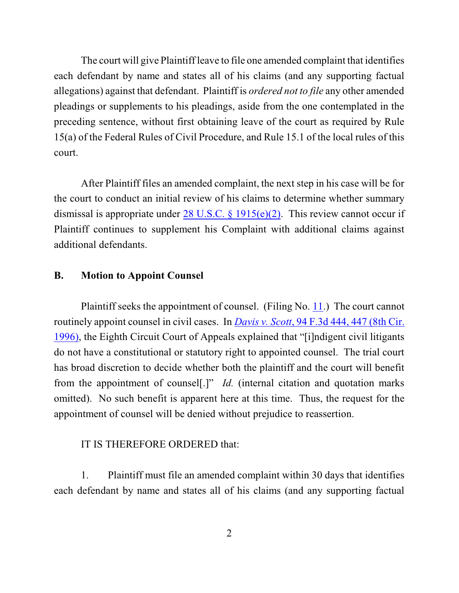The court will give Plaintiff leave to file one amended complaint that identifies each defendant by name and states all of his claims (and any supporting factual allegations) against that defendant. Plaintiff is *ordered not to file* any other amended pleadings or supplements to his pleadings, aside from the one contemplated in the preceding sentence, without first obtaining leave of the court as required by Rule 15(a) of the Federal Rules of Civil Procedure, and Rule 15.1 of the local rules of this court.

After Plaintiff files an amended complaint, the next step in his case will be for the court to conduct an initial review of his claims to determine whether summary dismissal is appropriate under 28 U.S.C. § [1915\(e\)\(2\)](https://web2.westlaw.com/find/default.wl?cite=28+usc+1915&rs=WLW15.01&vr=2.0&rp=%2ffind%2fdefault.wl&utid=2&fn=_top&mt=EighthCircuit&sv=Split). This review cannot occur if Plaintiff continues to supplement his Complaint with additional claims against additional defendants.

## **B. Motion to Appoint Counsel**

Plaintiff seeks the appointment of counsel. (Filing No. [11](http://ecf.ned.uscourts.gov/doc1/11313232077).) The court cannot routinely appoint counsel in civil cases. In *Davis v. Scott*, 94 F.3d [444, 447](http://www.westlaw.com/find/default.wl?rs=CLWP3.0&vr=2.0&cite=94+F.3d+444) (8th Cir. [1996\)](http://www.westlaw.com/find/default.wl?rs=CLWP3.0&vr=2.0&cite=94+F.3d+444), the Eighth Circuit Court of Appeals explained that "[i]ndigent civil litigants do not have a constitutional or statutory right to appointed counsel. The trial court has broad discretion to decide whether both the plaintiff and the court will benefit from the appointment of counsel[.]" *Id.* (internal citation and quotation marks omitted). No such benefit is apparent here at this time. Thus, the request for the appointment of counsel will be denied without prejudice to reassertion.

## IT IS THEREFORE ORDERED that:

1. Plaintiff must file an amended complaint within 30 days that identifies each defendant by name and states all of his claims (and any supporting factual